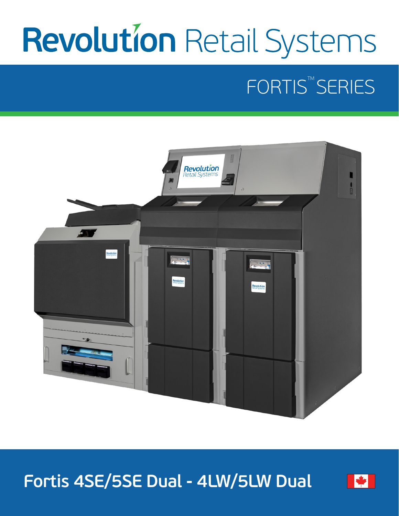# **Revolution Retail Systems**

# FORTIS<sup>™</sup>SERIES



**Fortis 4SE/5SE Dual - 4LW/5LW Dual**

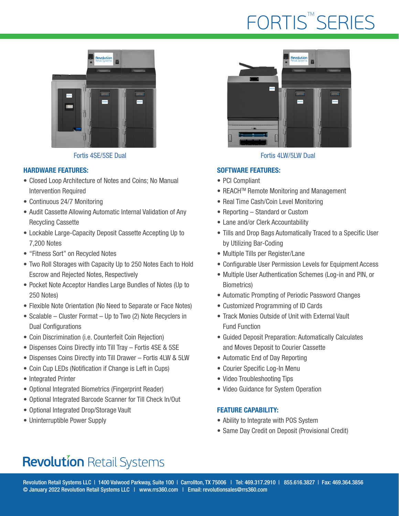## FORTIS<sup>™</sup>SERIES



Fortis 4SE/5SE Dual Fortis 4LW/5LW Dual

#### HARDWARE FEATURES:

- Closed Loop Architecture of Notes and Coins; No Manual Intervention Required
- Continuous 24/7 Monitoring
- Audit Cassette Allowing Automatic Internal Validation of Any Recycling Cassette
- Lockable Large-Capacity Deposit Cassette Accepting Up to 7,200 Notes
- "Fitness Sort" on Recycled Notes
- Two Roll Storages with Capacity Up to 250 Notes Each to Hold Escrow and Rejected Notes, Respectively
- Pocket Note Acceptor Handles Large Bundles of Notes (Up to 250 Notes)
- Flexible Note Orientation (No Need to Separate or Face Notes)
- Scalable Cluster Format Up to Two (2) Note Recyclers in Dual Configurations
- Coin Discrimination (i.e. Counterfeit Coin Rejection)
- Dispenses Coins Directly into Till Tray Fortis 4SE & 5SE
- Dispenses Coins Directly into Till Drawer Fortis 4LW & 5LW
- Coin Cup LEDs (Notification if Change is Left in Cups)
- Integrated Printer
- Optional Integrated Biometrics (Fingerprint Reader)
- Optional Integrated Barcode Scanner for Till Check In/Out
- Optional Integrated Drop/Storage Vault
- Uninterruptible Power Supply



#### SOFTWARE FEATURES:

- PCI Compliant
- REACH<sup>™</sup> Remote Monitoring and Management
- Real Time Cash/Coin Level Monitoring
- Reporting Standard or Custom
- Lane and/or Clerk Accountability
- Tills and Drop Bags Automatically Traced to a Specific User by Utilizing Bar-Coding
- Multiple Tills per Register/Lane
- Configurable User Permission Levels for Equipment Access
- Multiple User Authentication Schemes (Log-in and PIN, or Biometrics)
- Automatic Prompting of Periodic Password Changes
- Customized Programming of ID Cards
- Track Monies Outside of Unit with External Vault Fund Function
- Guided Deposit Preparation: Automatically Calculates and Moves Deposit to Courier Cassette
- Automatic End of Day Reporting
- Courier Specific Log-In Menu
- Video Troubleshooting Tips
- Video Guidance for System Operation

#### FEATURE CAPABILITY:

- Ability to Integrate with POS System
- Same Day Credit on Deposit (Provisional Credit)

### **Revolution Retail Systems**

Revolution Retail Systems LLC | 1400 Valwood Parkway, Suite 100 | Carrollton, TX 75006 | Tel: 469.317.2910 | 855.616.3827 | Fax: 469.364.3856 © January 2022 Revolution Retail Systems LLC | www.rrs360.com | Email: revolutionsales@rrs360.com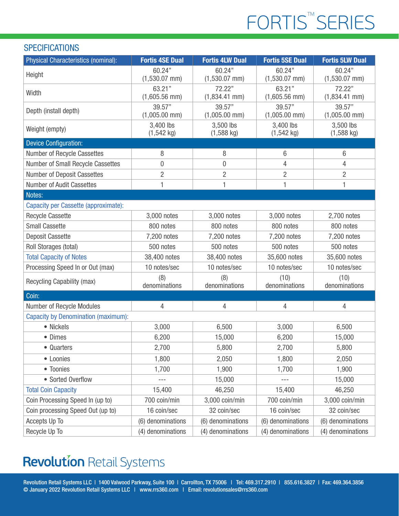# FORTIS<sup>™</sup>SERIES

#### **SPECIFICATIONS**

| Physical Characteristics (nominal):        | <b>Fortis 4SE Dual</b>    | <b>Fortis 4LW Dual</b>    | <b>Fortis 5SE Dual</b>     | <b>Fortis 5LW Dual</b>    |
|--------------------------------------------|---------------------------|---------------------------|----------------------------|---------------------------|
| Height                                     | 60.24"<br>$(1,530.07$ mm) | 60.24"<br>$(1,530.07$ mm) | 60.24"<br>$(1,530.07$ mm)  | 60.24"<br>$(1,530.07$ mm) |
| Width                                      | 63.21"<br>$(1,605.56$ mm) | 72.22"<br>$(1,834.41$ mm) | 63.21"<br>$(1,605.56$ mm)  | 72.22"<br>$(1,834.41$ mm) |
| Depth (install depth)                      | 39.57"<br>$(1,005.00$ mm) | 39.57"<br>$(1,005.00$ mm) | 39.57"<br>$(1,005.00$ mm)  | 39.57"<br>$(1,005.00$ mm) |
| Weight (empty)                             | 3,400 lbs<br>$(1,542$ kg) | 3,500 lbs<br>$(1,588$ kg) | 3,400 lbs<br>$(1, 542$ kg) | 3,500 lbs<br>$(1,588$ kg) |
| <b>Device Configuration:</b>               |                           |                           |                            |                           |
| Number of Recycle Cassettes                | 8                         | 8                         | 6                          | $6\,$                     |
| Number of Small Recycle Cassettes          | $\mathbf 0$               | 0                         | 4                          | 4                         |
| <b>Number of Deposit Cassettes</b>         | $\overline{2}$            | $\overline{2}$            | $\overline{2}$             | $\overline{2}$            |
| <b>Number of Audit Cassettes</b>           | 1                         | 1                         | 1                          | 1                         |
| Notes:                                     |                           |                           |                            |                           |
| Capacity per Cassette (approximate):       |                           |                           |                            |                           |
| <b>Recycle Cassette</b>                    | 3,000 notes               | 3,000 notes               | 3,000 notes                | 2,700 notes               |
| <b>Small Cassette</b>                      | 800 notes                 | 800 notes                 | 800 notes                  | 800 notes                 |
| <b>Deposit Cassette</b>                    | 7,200 notes               | 7,200 notes               | 7,200 notes                | 7,200 notes               |
| Roll Storages (total)                      | 500 notes                 | 500 notes                 | 500 notes                  | 500 notes                 |
| <b>Total Capacity of Notes</b>             | 38,400 notes              | 38,400 notes              | 35,600 notes               | 35,600 notes              |
| Processing Speed In or Out (max)           | 10 notes/sec              | 10 notes/sec              | 10 notes/sec               | 10 notes/sec              |
| Recycling Capability (max)                 | (8)<br>denominations      | (8)<br>denominations      | (10)<br>denominations      | (10)<br>denominations     |
| Coin:                                      |                           |                           |                            |                           |
| Number of Recycle Modules                  | $\overline{4}$            | 4                         | $\overline{4}$             | 4                         |
| <b>Capacity by Denomination (maximum):</b> |                           |                           |                            |                           |
| • Nickels                                  | 3,000                     | 6,500                     | 3,000                      | 6,500                     |
| • Dimes                                    | 6,200                     | 15,000                    | 6,200                      | 15,000                    |
| • Quarters                                 | 2,700                     | 5,800                     | 2,700                      | 5,800                     |
| • Loonies                                  | 1,800                     | 2,050                     | 1,800                      | 2,050                     |
| • Toonies                                  | 1,700                     | 1,900                     | 1,700                      | 1,900                     |
| • Sorted Overflow                          | $---$                     | 15,000                    | $---$                      | 15,000                    |
| <b>Total Coin Capacity</b>                 | 15,400                    | 46,250                    | 15,400                     | 46,250                    |
| Coin Processing Speed In (up to)           | 700 coin/min              | 3,000 coin/min            | 700 coin/min               | 3,000 coin/min            |
| Coin processing Speed Out (up to)          | 16 coin/sec               | 32 coin/sec               | 16 coin/sec                | 32 coin/sec               |
| Accepts Up To                              | (6) denominations         | (6) denominations         | (6) denominations          | (6) denominations         |
| Recycle Up To                              | (4) denominations         | (4) denominations         | (4) denominations          | (4) denominations         |

### **Revolution Retail Systems**

Revolution Retail Systems LLC | 1400 Valwood Parkway, Suite 100 | Carrollton, TX 75006 | Tel: 469.317.2910 | 855.616.3827 | Fax: 469.364.3856 © January 2022 Revolution Retail Systems LLC | www.rrs360.com | Email: revolutionsales@rrs360.com